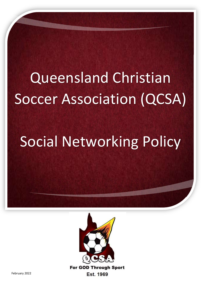## Queensland Christian Soccer Association (QCSA)

## Social Networking Policy



**For GOD Through Sport** Est. 1969

February 2022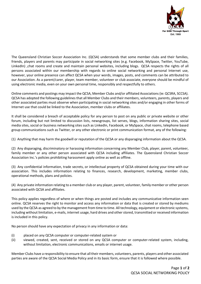

The Queensland Christian Soccer Association Inc. (QCSA) understands that some member clubs and their families, friends, players and parents may participate in social networking sites (e.g. Facebook, MySpace, Twitter, YouTube, LinkedIn) ,chat rooms and create and maintain personal websites, including blogs. QCSA respects the rights of all persons associated within our membership with regards to online social networking and personal Internet use, however, your online presence can affect QCSA when your words, images, posts, and comments can be attributed to our Association. As a parent/carer, player, team member, volunteer or club associate, everyone should be mindful of using electronic media, even on your own personal time, responsibly and respectfully to others.

Online comments and postings may impact the QCSA, Member Clubs and/or affiliated Associations (ie: QCSRA, SCCSA). QCSA has adopted the following guidelines that all Member Clubs and their members, volunteers, parents, players and other associated parties must observe when participating in social networking sites and/or engaging in other forms of Internet use that could be linked to the Association, member clubs or affiliates.

It shall be considered a breach of acceptable policy for any person to post on any public or private website or other forum, including but not limited to discussion lists, newsgroups, list serves, blogs, information sharing sites, social media sites, social or business networking sites such as LinkedIn, Facebook, or MySpace, chat rooms, telephone based group communications such as Twitter, or any other electronic or print communication format, any of the following:

(1) Anything that may harm the goodwill or reputation of the QCSA or any disparaging information about the QCSA.

(2) Any disparaging, discriminatory or harassing information concerning any Member Club, player, parent, volunteer, family member or any other person associated with QCSA including affiliates. The Queensland Christian Soccer Association Inc.'s policies prohibiting harassment apply online as well as offline.

(3) Any confidential information, trade secrets, or intellectual property of QCSA obtained during your time with our association. This includes information relating to finances, research, development, marketing, member clubs, operational methods, plans and policies.

(4) Any private information relating to a member club or any player, parent, volunteer, family member or other person associated with QCSA and affiliates.

This policy applies regardless of where or when things are posted and includes any communicative information seen online. QCSA reserves the right to monitor and access any information or data that is created or stored by mediums used by the QCSA as agreed to by the management from time to time. All technology, equipment or electronic systems, including without limitation, e-mails, internet usage, hard drives and other stored, transmitted or received information is included in this policy.

No person should have any expectation of privacy in any information or data:

- (i) placed on any QCSA computer or computer-related system or
- (ii) viewed, created, sent, received or stored on any QCSA computer or computer-related system, including, without limitation, electronic communications, emails or internet usage.

Member Clubs have a responsibility to ensure that all their members, volunteers, parents, players and other associated parties are aware of the QCSA Social Media Policy and in its basic form, ensure that it is followed where possible.